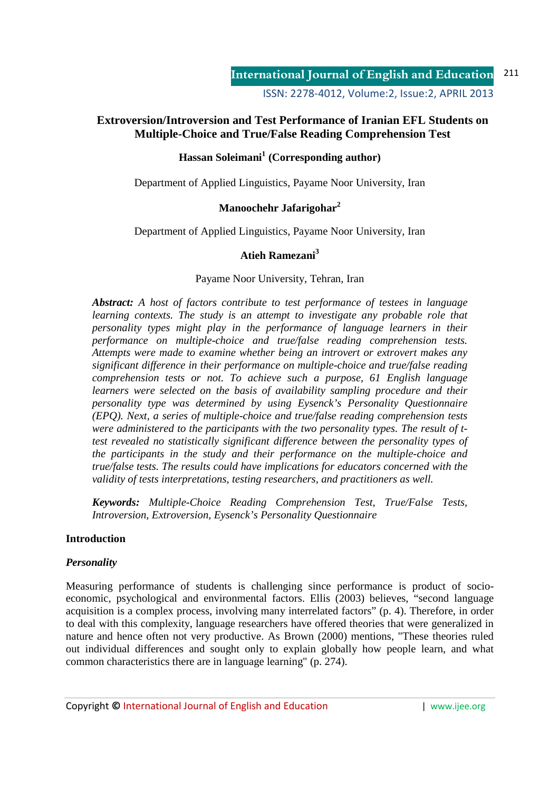ISSN: 2278-4012, Volume:2, Issue:2, APRIL 2013

# **Extroversion/Introversion and Test Performance of Iranian EFL Students on Multiple-Choice and True/False Reading Comprehension Test**

# **Hassan Soleimani<sup>1</sup> (Corresponding author)**

Department of Applied Linguistics, Payame Noor University, Iran

# **Manoochehr Jafarigohar<sup>2</sup>**

Department of Applied Linguistics, Payame Noor University, Iran

# **Atieh Ramezani<sup>3</sup>**

## Payame Noor University, Tehran, Iran

*Abstract: A host of factors contribute to test performance of testees in language learning contexts. The study is an attempt to investigate any probable role that personality types might play in the performance of language learners in their performance on multiple-choice and true/false reading comprehension tests. Attempts were made to examine whether being an introvert or extrovert makes any significant difference in their performance on multiple-choice and true/false reading comprehension tests or not. To achieve such a purpose, 61 English language learners were selected on the basis of availability sampling procedure and their personality type was determined by using Eysenck's Personality Questionnaire (EPQ). Next, a series of multiple-choice and true/false reading comprehension tests were administered to the participants with the two personality types. The result of ttest revealed no statistically significant difference between the personality types of the participants in the study and their performance on the multiple-choice and true/false tests. The results could have implications for educators concerned with the validity of tests interpretations, testing researchers, and practitioners as well.* 

*Keywords: Multiple-Choice Reading Comprehension Test, True/False Tests, Introversion, Extroversion, Eysenck's Personality Questionnaire* 

## **Introduction**

## *Personality*

Measuring performance of students is challenging since performance is product of socioeconomic, psychological and environmental factors. Ellis (2003) believes, "second language acquisition is a complex process, involving many interrelated factors" (p. 4). Therefore, in order to deal with this complexity, language researchers have offered theories that were generalized in nature and hence often not very productive. As Brown (2000) mentions, "These theories ruled out individual differences and sought only to explain globally how people learn, and what common characteristics there are in language learning" (p. 274).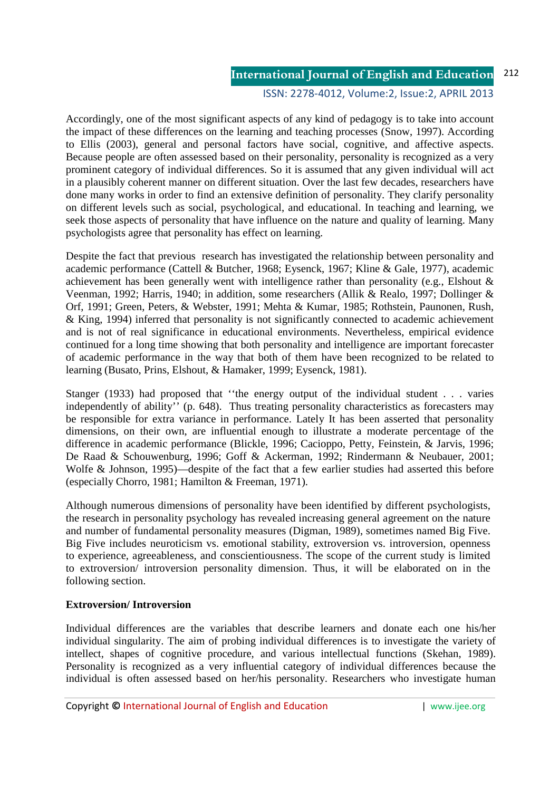## ISSN: 2278-4012, Volume:2, Issue:2, APRIL 2013

Accordingly, one of the most significant aspects of any kind of pedagogy is to take into account the impact of these differences on the learning and teaching processes (Snow, 1997). According to Ellis (2003), general and personal factors have social, cognitive, and affective aspects. Because people are often assessed based on their personality, personality is recognized as a very prominent category of individual differences. So it is assumed that any given individual will act in a plausibly coherent manner on different situation. Over the last few decades, researchers have done many works in order to find an extensive definition of personality. They clarify personality on different levels such as social, psychological, and educational. In teaching and learning, we seek those aspects of personality that have influence on the nature and quality of learning. Many psychologists agree that personality has effect on learning.

Despite the fact that previous research has investigated the relationship between personality and academic performance (Cattell & Butcher, 1968; Eysenck, 1967; Kline & Gale, 1977), academic achievement has been generally went with intelligence rather than personality (e.g., Elshout & Veenman, 1992; Harris, 1940; in addition, some researchers (Allik & Realo, 1997; Dollinger & Orf, 1991; Green, Peters, & Webster, 1991; Mehta & Kumar, 1985; Rothstein, Paunonen, Rush, & King, 1994) inferred that personality is not significantly connected to academic achievement and is not of real significance in educational environments. Nevertheless, empirical evidence continued for a long time showing that both personality and intelligence are important forecaster of academic performance in the way that both of them have been recognized to be related to learning (Busato, Prins, Elshout, & Hamaker, 1999; Eysenck, 1981).

Stanger (1933) had proposed that ''the energy output of the individual student . . . varies independently of ability'' (p. 648). Thus treating personality characteristics as forecasters may be responsible for extra variance in performance. Lately It has been asserted that personality dimensions, on their own, are influential enough to illustrate a moderate percentage of the difference in academic performance (Blickle, 1996; Cacioppo, Petty, Feinstein, & Jarvis, 1996; De Raad & Schouwenburg, 1996; Goff & Ackerman, 1992; Rindermann & Neubauer, 2001; Wolfe & Johnson, 1995)—despite of the fact that a few earlier studies had asserted this before (especially Chorro, 1981; Hamilton & Freeman, 1971).

Although numerous dimensions of personality have been identified by different psychologists, the research in personality psychology has revealed increasing general agreement on the nature and number of fundamental personality measures (Digman, 1989), sometimes named Big Five. Big Five includes neuroticism vs. emotional stability, extroversion vs. introversion, openness to experience, agreeableness, and conscientiousness. The scope of the current study is limited to extroversion/ introversion personality dimension. Thus, it will be elaborated on in the following section.

## **Extroversion/ Introversion**

Individual differences are the variables that describe learners and donate each one his/her individual singularity. The aim of probing individual differences is to investigate the variety of intellect, shapes of cognitive procedure, and various intellectual functions (Skehan, 1989). Personality is recognized as a very influential category of individual differences because the individual is often assessed based on her/his personality. Researchers who investigate human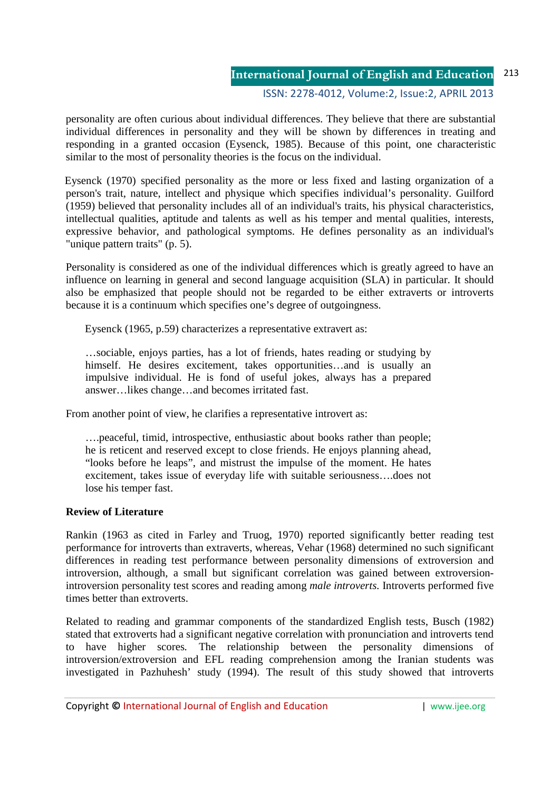#### ISSN: 2278-4012, Volume:2, Issue:2, APRIL 2013

personality are often curious about individual differences. They believe that there are substantial individual differences in personality and they will be shown by differences in treating and responding in a granted occasion (Eysenck, 1985). Because of this point, one characteristic similar to the most of personality theories is the focus on the individual.

 Eysenck (1970) specified personality as the more or less fixed and lasting organization of a person's trait, nature, intellect and physique which specifies individual's personality. Guilford (1959) believed that personality includes all of an individual's traits, his physical characteristics, intellectual qualities, aptitude and talents as well as his temper and mental qualities, interests, expressive behavior, and pathological symptoms. He defines personality as an individual's "unique pattern traits" (p. 5).

Personality is considered as one of the individual differences which is greatly agreed to have an influence on learning in general and second language acquisition (SLA) in particular. It should also be emphasized that people should not be regarded to be either extraverts or introverts because it is a continuum which specifies one's degree of outgoingness.

Eysenck (1965, p.59) characterizes a representative extravert as:

…sociable, enjoys parties, has a lot of friends, hates reading or studying by himself. He desires excitement, takes opportunities...and is usually an impulsive individual. He is fond of useful jokes, always has a prepared answer…likes change…and becomes irritated fast.

From another point of view, he clarifies a representative introvert as:

….peaceful, timid, introspective, enthusiastic about books rather than people; he is reticent and reserved except to close friends. He enjoys planning ahead, "looks before he leaps", and mistrust the impulse of the moment. He hates excitement, takes issue of everyday life with suitable seriousness….does not lose his temper fast.

## **Review of Literature**

Rankin (1963 as cited in Farley and Truog, 1970) reported significantly better reading test performance for introverts than extraverts, whereas, Vehar (1968) determined no such significant differences in reading test performance between personality dimensions of extroversion and introversion, although*,* a small but significant correlation was gained between extroversionintroversion personality test scores and reading among *male introverts*. Introverts performed five times better than extroverts.

Related to reading and grammar components of the standardized English tests, Busch (1982) stated that extroverts had a significant negative correlation with pronunciation and introverts tend to have higher scores*.* The relationship between the personality dimensions of introversion/extroversion and EFL reading comprehension among the Iranian students was investigated in Pazhuhesh' study (1994). The result of this study showed that introverts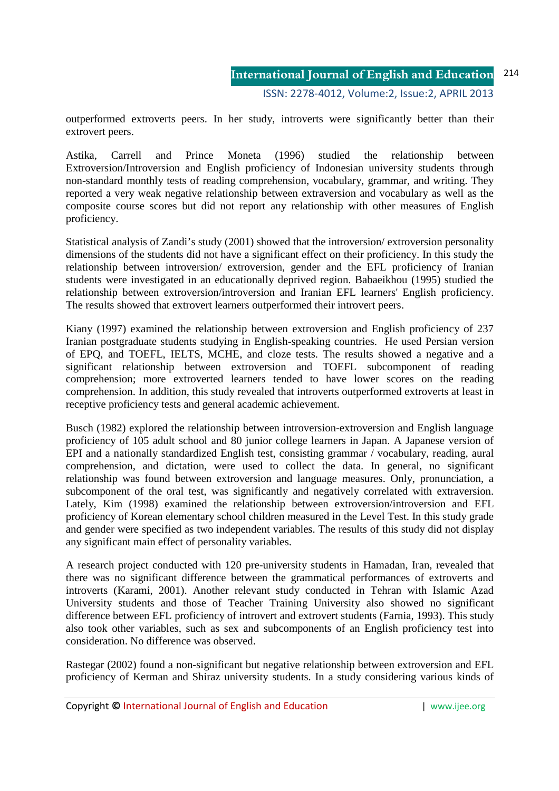outperformed extroverts peers. In her study, introverts were significantly better than their extrovert peers.

Astika, Carrell and Prince Moneta (1996) studied the relationship between Extroversion/Introversion and English proficiency of Indonesian university students through non-standard monthly tests of reading comprehension, vocabulary, grammar, and writing. They reported a very weak negative relationship between extraversion and vocabulary as well as the composite course scores but did not report any relationship with other measures of English proficiency.

Statistical analysis of Zandi's study (2001) showed that the introversion/ extroversion personality dimensions of the students did not have a significant effect on their proficiency. In this study the relationship between introversion/ extroversion, gender and the EFL proficiency of Iranian students were investigated in an educationally deprived region. Babaeikhou (1995) studied the relationship between extroversion/introversion and Iranian EFL learners' English proficiency. The results showed that extrovert learners outperformed their introvert peers.

Kiany (1997) examined the relationship between extroversion and English proficiency of 237 Iranian postgraduate students studying in English-speaking countries. He used Persian version of EPQ, and TOEFL, IELTS, MCHE, and cloze tests. The results showed a negative and a significant relationship between extroversion and TOEFL subcomponent of reading comprehension; more extroverted learners tended to have lower scores on the reading comprehension. In addition, this study revealed that introverts outperformed extroverts at least in receptive proficiency tests and general academic achievement.

Busch (1982) explored the relationship between introversion-extroversion and English language proficiency of 105 adult school and 80 junior college learners in Japan. A Japanese version of EPI and a nationally standardized English test, consisting grammar / vocabulary, reading, aural comprehension, and dictation, were used to collect the data. In general, no significant relationship was found between extroversion and language measures. Only, pronunciation, a subcomponent of the oral test, was significantly and negatively correlated with extraversion. Lately, Kim (1998) examined the relationship between extroversion/introversion and EFL proficiency of Korean elementary school children measured in the Level Test. In this study grade and gender were specified as two independent variables. The results of this study did not display any significant main effect of personality variables.

A research project conducted with 120 pre-university students in Hamadan, Iran, revealed that there was no significant difference between the grammatical performances of extroverts and introverts (Karami, 2001). Another relevant study conducted in Tehran with Islamic Azad University students and those of Teacher Training University also showed no significant difference between EFL proficiency of introvert and extrovert students (Farnia, 1993). This study also took other variables, such as sex and subcomponents of an English proficiency test into consideration. No difference was observed.

Rastegar (2002) found a non-significant but negative relationship between extroversion and EFL proficiency of Kerman and Shiraz university students. In a study considering various kinds of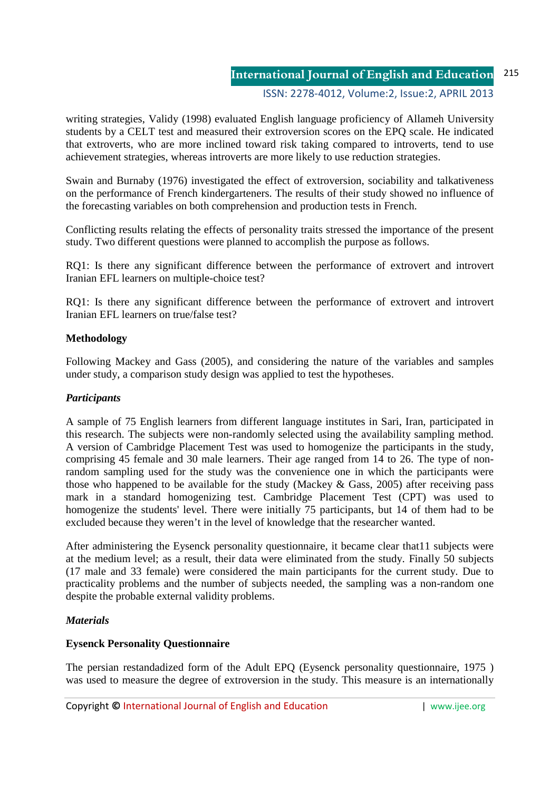## ISSN: 2278-4012, Volume:2, Issue:2, APRIL 2013

writing strategies, Validy (1998) evaluated English language proficiency of Allameh University students by a CELT test and measured their extroversion scores on the EPQ scale. He indicated that extroverts, who are more inclined toward risk taking compared to introverts, tend to use achievement strategies, whereas introverts are more likely to use reduction strategies.

Swain and Burnaby (1976) investigated the effect of extroversion, sociability and talkativeness on the performance of French kindergarteners. The results of their study showed no influence of the forecasting variables on both comprehension and production tests in French.

Conflicting results relating the effects of personality traits stressed the importance of the present study. Two different questions were planned to accomplish the purpose as follows.

RQ1: Is there any significant difference between the performance of extrovert and introvert Iranian EFL learners on multiple-choice test?

RQ1: Is there any significant difference between the performance of extrovert and introvert Iranian EFL learners on true/false test?

## **Methodology**

Following Mackey and Gass (2005), and considering the nature of the variables and samples under study, a comparison study design was applied to test the hypotheses.

#### *Participants*

A sample of 75 English learners from different language institutes in Sari, Iran, participated in this research. The subjects were non-randomly selected using the availability sampling method. A version of Cambridge Placement Test was used to homogenize the participants in the study, comprising 45 female and 30 male learners. Their age ranged from 14 to 26. The type of nonrandom sampling used for the study was the convenience one in which the participants were those who happened to be available for the study (Mackey  $\&$  Gass, 2005) after receiving pass mark in a standard homogenizing test. Cambridge Placement Test (CPT) was used to homogenize the students' level. There were initially 75 participants, but 14 of them had to be excluded because they weren't in the level of knowledge that the researcher wanted.

After administering the Eysenck personality questionnaire, it became clear that11 subjects were at the medium level; as a result, their data were eliminated from the study. Finally 50 subjects (17 male and 33 female) were considered the main participants for the current study. Due to practicality problems and the number of subjects needed, the sampling was a non-random one despite the probable external validity problems.

## *Materials*

## **Eysenck Personality Questionnaire**

The persian restandadized form of the Adult EPQ (Eysenck personality questionnaire, 1975 ) was used to measure the degree of extroversion in the study. This measure is an internationally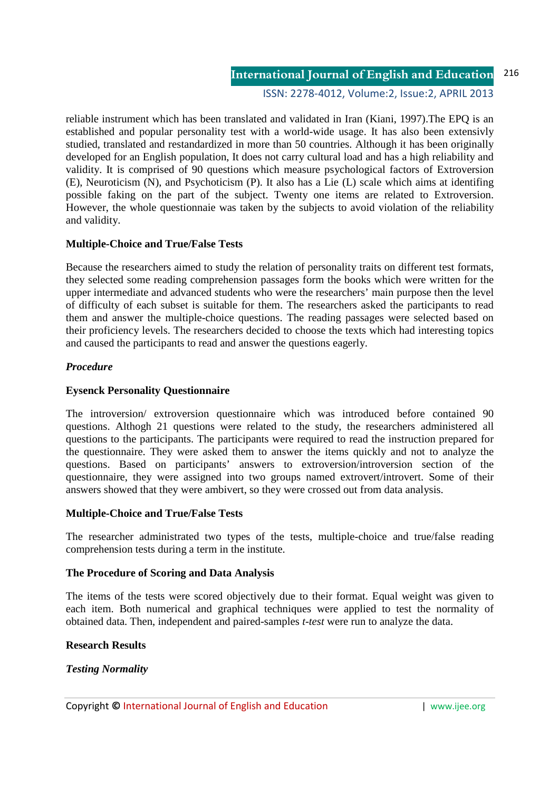ISSN: 2278-4012, Volume:2, Issue:2, APRIL 2013

reliable instrument which has been translated and validated in Iran (Kiani, 1997).The EPQ is an established and popular personality test with a world-wide usage. It has also been extensivly studied, translated and restandardized in more than 50 countries. Although it has been originally developed for an English population, It does not carry cultural load and has a high reliability and validity. It is comprised of 90 questions which measure psychological factors of Extroversion (E), Neuroticism (N), and Psychoticism (P). It also has a Lie (L) scale which aims at identifing possible faking on the part of the subject. Twenty one items are related to Extroversion. However, the whole questionnaie was taken by the subjects to avoid violation of the reliability and validity.

## **Multiple-Choice and True/False Tests**

Because the researchers aimed to study the relation of personality traits on different test formats, they selected some reading comprehension passages form the books which were written for the upper intermediate and advanced students who were the researchers' main purpose then the level of difficulty of each subset is suitable for them. The researchers asked the participants to read them and answer the multiple-choice questions. The reading passages were selected based on their proficiency levels. The researchers decided to choose the texts which had interesting topics and caused the participants to read and answer the questions eagerly.

#### *Procedure*

## **Eysenck Personality Questionnaire**

The introversion/ extroversion questionnaire which was introduced before contained 90 questions. Althogh 21 questions were related to the study, the researchers administered all questions to the participants. The participants were required to read the instruction prepared for the questionnaire. They were asked them to answer the items quickly and not to analyze the questions. Based on participants' answers to extroversion/introversion section of the questionnaire, they were assigned into two groups named extrovert/introvert. Some of their answers showed that they were ambivert, so they were crossed out from data analysis.

#### **Multiple-Choice and True/False Tests**

The researcher administrated two types of the tests, multiple-choice and true/false reading comprehension tests during a term in the institute.

#### **The Procedure of Scoring and Data Analysis**

The items of the tests were scored objectively due to their format. Equal weight was given to each item. Both numerical and graphical techniques were applied to test the normality of obtained data. Then, independent and paired-samples *t-test* were run to analyze the data.

#### **Research Results**

## *Testing Normality*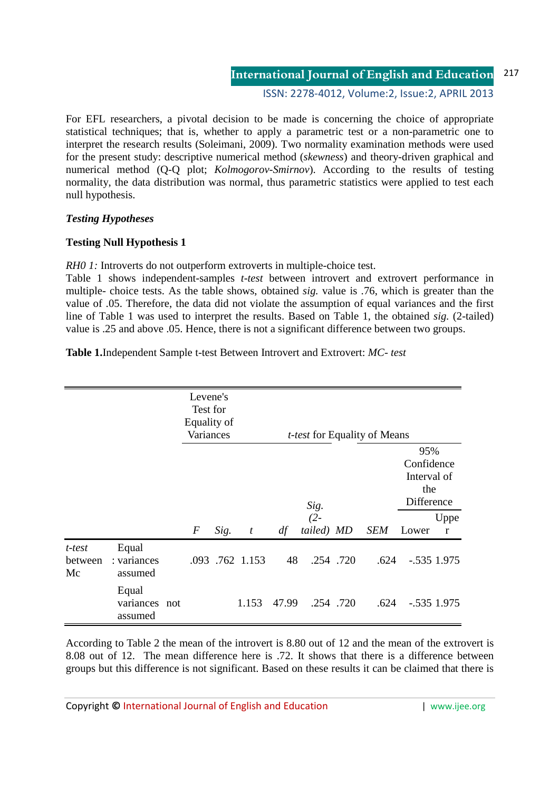ISSN: 2278-4012, Volume:2, Issue:2, APRIL 2013

For EFL researchers, a pivotal decision to be made is concerning the choice of appropriate statistical techniques; that is, whether to apply a parametric test or a non-parametric one to interpret the research results (Soleimani, 2009). Two normality examination methods were used for the present study: descriptive numerical method (*skewness*) and theory-driven graphical and numerical method (Q-Q plot; *Kolmogorov-Smirnov*). According to the results of testing normality, the data distribution was normal, thus parametric statistics were applied to test each null hypothesis.

# *Testing Hypotheses*

## **Testing Null Hypothesis 1**

*RH0 1:* Introverts do not outperform extroverts in multiple-choice test.

Table 1 shows independent-samples *t-test* between introvert and extrovert performance in multiple- choice tests. As the table shows, obtained *sig.* value is .76, which is greater than the value of .05. Therefore, the data did not violate the assumption of equal variances and the first line of Table 1 was used to interpret the results. Based on Table 1, the obtained *sig.* (2-tailed) value is .25 and above .05. Hence, there is not a significant difference between two groups.

**Table 1.**Independent Sample t-test Between Introvert and Extrovert: *MC- test* 

|                         |                                   | Levene's<br>Test for<br>Equality of<br>Variances |      |                  | <i>t-test</i> for Equality of Means |                              |          |            |                                                                |               |  |
|-------------------------|-----------------------------------|--------------------------------------------------|------|------------------|-------------------------------------|------------------------------|----------|------------|----------------------------------------------------------------|---------------|--|
|                         |                                   | $\boldsymbol{F}$                                 | Sig. | $\boldsymbol{t}$ | df                                  | Sig.<br>$(2 -$<br>tailed) MD |          | <b>SEM</b> | 95%<br>Confidence<br>Interval of<br>the<br>Difference<br>Lower | Uppe<br>r     |  |
| t-test<br>between<br>Mc | Equal<br>: variances<br>assumed   |                                                  |      | .093 .762 1.153  | 48                                  |                              | .254.720 | .624       |                                                                | $-.535$ 1.975 |  |
|                         | Equal<br>variances not<br>assumed |                                                  |      | 1.153            | 47.99                               |                              | .254.720 | .624       |                                                                | $-.535$ 1.975 |  |

According to Table 2 the mean of the introvert is 8.80 out of 12 and the mean of the extrovert is 8.08 out of 12. The mean difference here is .72. It shows that there is a difference between groups but this difference is not significant. Based on these results it can be claimed that there is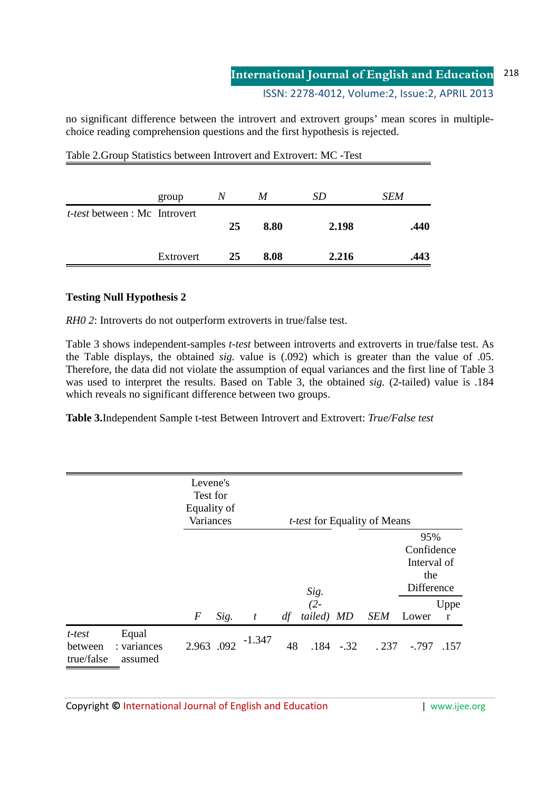ISSN: 2278-4012, Volume:2, Issue:2, APRIL 2013

no significant difference between the introvert and extrovert groups' mean scores in multiplechoice reading comprehension questions and the first hypothesis is rejected.

|                                      | group     | N  | M    | SD    | <b>SEM</b> |
|--------------------------------------|-----------|----|------|-------|------------|
| <i>t-test</i> between : Mc Introvert |           | 25 | 8.80 | 2.198 | .440       |
|                                      | Extrovert | 25 | 8.08 | 2.216 | .443       |

Table 2.Group Statistics between Introvert and Extrovert: MC -Test

# **Testing Null Hypothesis 2**

*RH0 2*: Introverts do not outperform extroverts in true/false test.

Table 3 shows independent-samples *t-test* between introverts and extroverts in true/false test. As the Table displays, the obtained *sig.* value is (.092) which is greater than the value of .05. Therefore, the data did not violate the assumption of equal variances and the first line of Table 3 was used to interpret the results. Based on Table 3, the obtained *sig.* (2-tailed) value is .184 which reveals no significant difference between two groups.

**Table 3.**Independent Sample t-test Between Introvert and Extrovert: *True/False test*

|                                 |                                 | Levene's<br>Test for<br>Equality of<br>Variances |      | <i>t-test</i> for Equality of Means |    |                             |              |            |                                                       |           |
|---------------------------------|---------------------------------|--------------------------------------------------|------|-------------------------------------|----|-----------------------------|--------------|------------|-------------------------------------------------------|-----------|
|                                 |                                 |                                                  |      |                                     |    |                             |              |            | 95%<br>Confidence<br>Interval of<br>the<br>Difference |           |
|                                 |                                 | $\boldsymbol{F}$                                 | Sig. | $\boldsymbol{t}$                    | df | $Sig.$<br>(2-<br>tailed) MD |              | <b>SEM</b> | Lower                                                 | Uppe<br>r |
| t-test<br>between<br>true/false | Equal<br>: variances<br>assumed | 2.963 .092                                       |      | -1.347                              | 48 |                             | $.184 - .32$ | .237       | $-.797$                                               | .157      |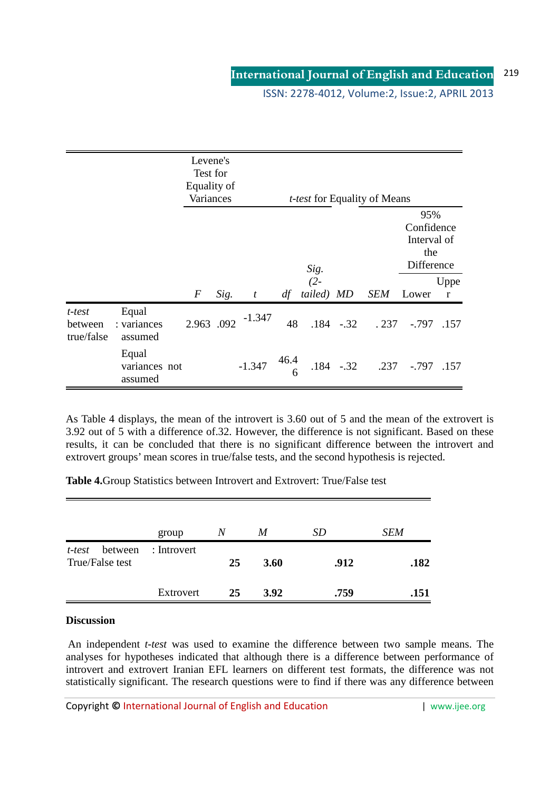ISSN: 2278-4012, Volume:2, Issue:2, APRIL 2013

|                                 |                                   | Levene's<br>Test for<br>Equality of<br>Variances |      |                  |           |                      |              | <i>t-test</i> for Equality of Means |                                                       |                      |
|---------------------------------|-----------------------------------|--------------------------------------------------|------|------------------|-----------|----------------------|--------------|-------------------------------------|-------------------------------------------------------|----------------------|
|                                 |                                   |                                                  |      |                  |           | Sig.                 |              |                                     | 95%<br>Confidence<br>Interval of<br>the<br>Difference |                      |
|                                 |                                   | $\boldsymbol{F}$                                 | Sig. | $\boldsymbol{t}$ | df        | $(2 -$<br>tailed) MD |              | <b>SEM</b>                          | Lower                                                 | Uppe<br>$\mathbf{r}$ |
| t-test<br>between<br>true/false | Equal<br>: variances<br>assumed   | 2.963 .092                                       |      | $-1.347$         | 48        |                      | $.184 - .32$ | .237                                | $-0.797$                                              | .157                 |
|                                 | Equal<br>variances not<br>assumed |                                                  |      | $-1.347$         | 46.4<br>6 |                      | $.184 - .32$ | .237                                | $-.797$                                               | .157                 |

As Table 4 displays, the mean of the introvert is 3.60 out of 5 and the mean of the extrovert is 3.92 out of 5 with a difference of.32. However, the difference is not significant. Based on these results, it can be concluded that there is no significant difference between the introvert and extrovert groups' mean scores in true/false tests, and the second hypothesis is rejected.

**Table 4.**Group Statistics between Introvert and Extrovert: True/False test

|                                      | group       | N          | M           | <i>SD</i> | <b>SEM</b> |
|--------------------------------------|-------------|------------|-------------|-----------|------------|
| between<br>t-test<br>True/False test | : Introvert | 25<br>3.60 |             | .912      | .182       |
|                                      | Extrovert   | 25         | <b>3.92</b> | .759      | .151       |

## **Discussion**

 An independent *t-test* was used to examine the difference between two sample means. The analyses for hypotheses indicated that although there is a difference between performance of introvert and extrovert Iranian EFL learners on different test formats, the difference was not statistically significant. The research questions were to find if there was any difference between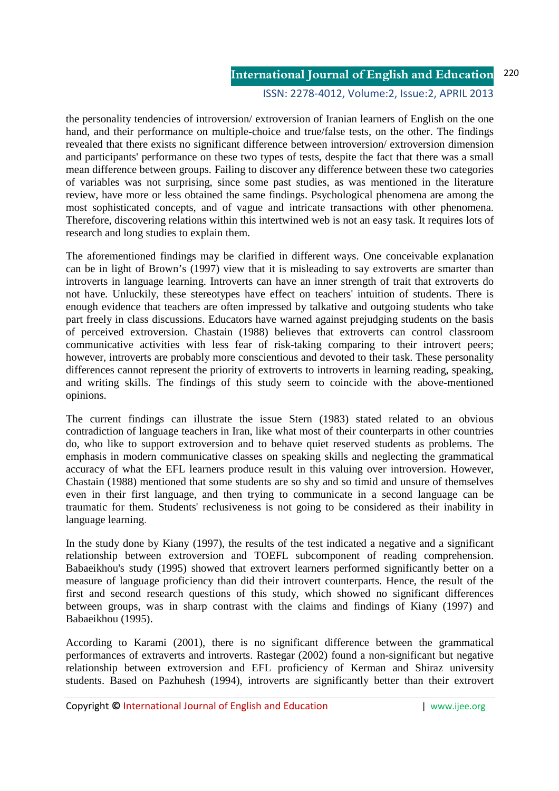#### ISSN: 2278-4012, Volume:2, Issue:2, APRIL 2013

the personality tendencies of introversion/ extroversion of Iranian learners of English on the one hand, and their performance on multiple-choice and true/false tests, on the other. The findings revealed that there exists no significant difference between introversion/ extroversion dimension and participants' performance on these two types of tests, despite the fact that there was a small mean difference between groups. Failing to discover any difference between these two categories of variables was not surprising, since some past studies, as was mentioned in the literature review, have more or less obtained the same findings. Psychological phenomena are among the most sophisticated concepts, and of vague and intricate transactions with other phenomena. Therefore, discovering relations within this intertwined web is not an easy task. It requires lots of research and long studies to explain them.

The aforementioned findings may be clarified in different ways. One conceivable explanation can be in light of Brown's (1997) view that it is misleading to say extroverts are smarter than introverts in language learning. Introverts can have an inner strength of trait that extroverts do not have. Unluckily, these stereotypes have effect on teachers' intuition of students. There is enough evidence that teachers are often impressed by talkative and outgoing students who take part freely in class discussions. Educators have warned against prejudging students on the basis of perceived extroversion. Chastain (1988) believes that extroverts can control classroom communicative activities with less fear of risk-taking comparing to their introvert peers; however, introverts are probably more conscientious and devoted to their task. These personality differences cannot represent the priority of extroverts to introverts in learning reading, speaking, and writing skills. The findings of this study seem to coincide with the above-mentioned opinions.

The current findings can illustrate the issue Stern (1983) stated related to an obvious contradiction of language teachers in Iran, like what most of their counterparts in other countries do, who like to support extroversion and to behave quiet reserved students as problems. The emphasis in modern communicative classes on speaking skills and neglecting the grammatical accuracy of what the EFL learners produce result in this valuing over introversion. However, Chastain (1988) mentioned that some students are so shy and so timid and unsure of themselves even in their first language, and then trying to communicate in a second language can be traumatic for them. Students' reclusiveness is not going to be considered as their inability in language learning.

In the study done by Kiany (1997), the results of the test indicated a negative and a significant relationship between extroversion and TOEFL subcomponent of reading comprehension. Babaeikhou's study (1995) showed that extrovert learners performed significantly better on a measure of language proficiency than did their introvert counterparts. Hence, the result of the first and second research questions of this study, which showed no significant differences between groups, was in sharp contrast with the claims and findings of Kiany (1997) and Babaeikhou (1995).

According to Karami (2001), there is no significant difference between the grammatical performances of extraverts and introverts. Rastegar (2002) found a non-significant but negative relationship between extroversion and EFL proficiency of Kerman and Shiraz university students. Based on Pazhuhesh (1994), introverts are significantly better than their extrovert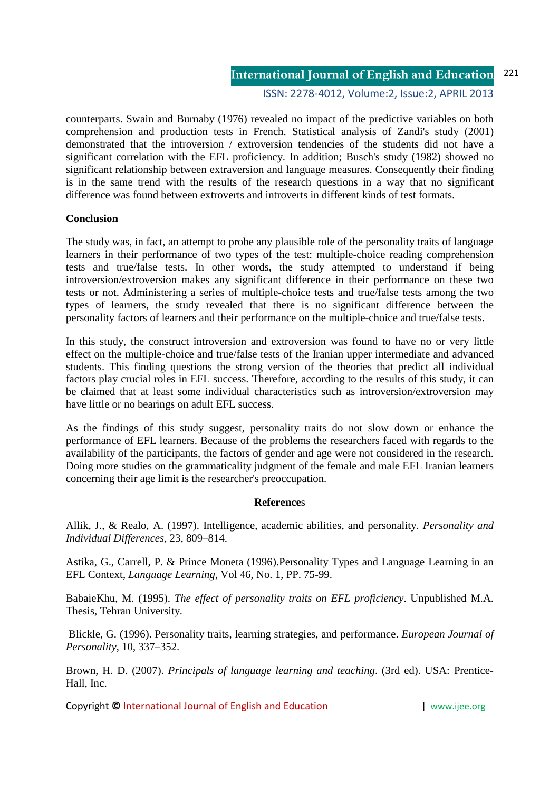#### ISSN: 2278-4012, Volume:2, Issue:2, APRIL 2013

counterparts. Swain and Burnaby (1976) revealed no impact of the predictive variables on both comprehension and production tests in French. Statistical analysis of Zandi's study (2001) demonstrated that the introversion / extroversion tendencies of the students did not have a significant correlation with the EFL proficiency. In addition; Busch's study (1982) showed no significant relationship between extraversion and language measures. Consequently their finding is in the same trend with the results of the research questions in a way that no significant difference was found between extroverts and introverts in different kinds of test formats.

#### **Conclusion**

The study was, in fact, an attempt to probe any plausible role of the personality traits of language learners in their performance of two types of the test: multiple-choice reading comprehension tests and true/false tests. In other words, the study attempted to understand if being introversion/extroversion makes any significant difference in their performance on these two tests or not. Administering a series of multiple-choice tests and true/false tests among the two types of learners, the study revealed that there is no significant difference between the personality factors of learners and their performance on the multiple-choice and true/false tests.

In this study, the construct introversion and extroversion was found to have no or very little effect on the multiple-choice and true/false tests of the Iranian upper intermediate and advanced students. This finding questions the strong version of the theories that predict all individual factors play crucial roles in EFL success. Therefore, according to the results of this study, it can be claimed that at least some individual characteristics such as introversion/extroversion may have little or no bearings on adult EFL success.

As the findings of this study suggest, personality traits do not slow down or enhance the performance of EFL learners. Because of the problems the researchers faced with regards to the availability of the participants, the factors of gender and age were not considered in the research. Doing more studies on the grammaticality judgment of the female and male EFL Iranian learners concerning their age limit is the researcher's preoccupation.

#### **Reference**s

Allik, J., & Realo, A. (1997). Intelligence, academic abilities, and personality. *Personality and Individual Differences*, 23, 809–814.

Astika, G., Carrell, P. & Prince Moneta (1996).Personality Types and Language Learning in an EFL Context, *Language Learning*, Vol 46, No. 1, PP. 75-99.

BabaieKhu, M. (1995). *The effect of personality traits on EFL proficiency*. Unpublished M.A. Thesis, Tehran University.

 Blickle, G. (1996). Personality traits, learning strategies, and performance. *European Journal of Personality*, 10, 337–352.

Brown, H. D. (2007). *Principals of language learning and teaching*. (3rd ed). USA: Prentice-Hall, Inc.

Copyright **©** International Journal of English and Education | www.ijee.org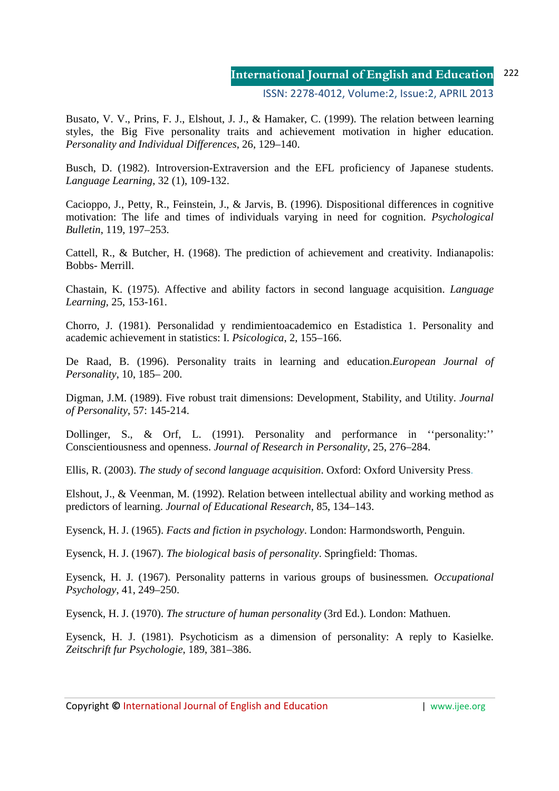ISSN: 2278-4012, Volume:2, Issue:2, APRIL 2013

Busato, V. V., Prins, F. J., Elshout, J. J., & Hamaker, C. (1999). The relation between learning styles, the Big Five personality traits and achievement motivation in higher education. *Personality and Individual Differences*, 26, 129–140.

Busch, D. (1982). Introversion-Extraversion and the EFL proficiency of Japanese students. *Language Learning*, 32 (1), 109-132.

Cacioppo, J., Petty, R., Feinstein, J., & Jarvis, B. (1996). Dispositional differences in cognitive motivation: The life and times of individuals varying in need for cognition. *Psychological Bulletin*, 119, 197–253.

Cattell, R., & Butcher, H. (1968). The prediction of achievement and creativity. Indianapolis: Bobbs- Merrill.

Chastain, K. (1975). Affective and ability factors in second language acquisition. *Language Learning,* 25, 153-161.

Chorro, J. (1981). Personalidad y rendimientoacademico en Estadistica 1. Personality and academic achievement in statistics: I. *Psicologica*, 2, 155–166.

De Raad, B. (1996). Personality traits in learning and education.*European Journal of Personality*, 10, 185– 200.

Digman, J.M. (1989). Five robust trait dimensions: Development, Stability, and Utility. *Journal of Personality*, 57: 145-214.

Dollinger, S., & Orf, L. (1991). Personality and performance in ''personality:'' Conscientiousness and openness. *Journal of Research in Personality*, 25, 276–284.

Ellis, R. (2003). *The study of second language acquisition*. Oxford: Oxford University Press.

Elshout, J., & Veenman, M. (1992). Relation between intellectual ability and working method as predictors of learning. *Journal of Educational Research*, 85, 134–143.

Eysenck, H. J. (1965). *Facts and fiction in psychology*. London: Harmondsworth, Penguin.

Eysenck, H. J. (1967). *The biological basis of personality*. Springfield: Thomas.

Eysenck, H. J. (1967). Personality patterns in various groups of businessmen*. Occupational Psychology*, 41, 249–250.

Eysenck, H. J. (1970). *The structure of human personality* (3rd Ed.). London: Mathuen.

Eysenck, H. J. (1981). Psychoticism as a dimension of personality: A reply to Kasielke. *Zeitschrift fur Psychologie*, 189, 381–386.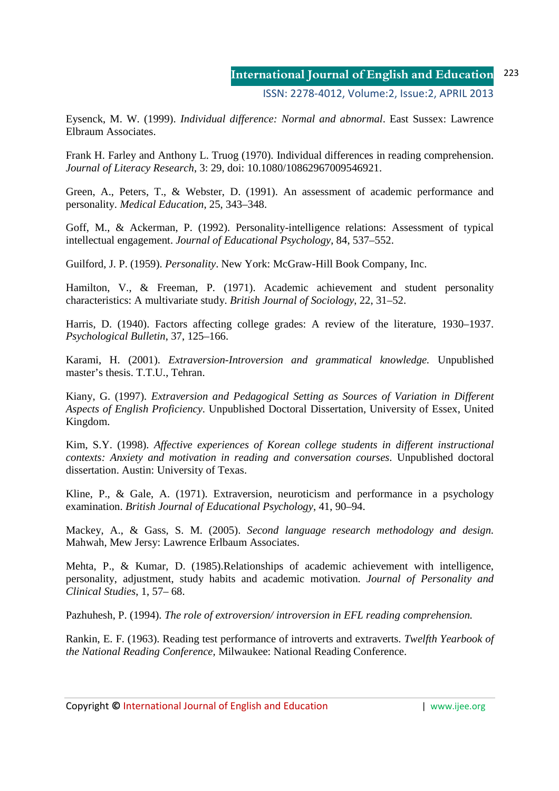Eysenck, M. W. (1999). *Individual difference: Normal and abnormal*. East Sussex: Lawrence Elbraum Associates.

Frank H. Farley and Anthony L. Truog (1970). Individual differences in reading comprehension. *Journal of Literacy Research*, 3: 29, doi: 10.1080/10862967009546921.

Green, A., Peters, T., & Webster, D. (1991). An assessment of academic performance and personality. *Medical Education*, 25, 343–348.

Goff, M., & Ackerman, P. (1992). Personality-intelligence relations: Assessment of typical intellectual engagement. *Journal of Educational Psychology*, 84, 537–552.

Guilford, J. P. (1959). *Personality*. New York: McGraw-Hill Book Company, Inc.

Hamilton, V., & Freeman, P. (1971). Academic achievement and student personality characteristics: A multivariate study. *British Journal of Sociology*, 22, 31–52.

Harris, D. (1940). Factors affecting college grades: A review of the literature, 1930–1937. *Psychological Bulletin*, 37, 125–166.

Karami, H. (2001). *Extraversion-Introversion and grammatical knowledge.* Unpublished master's thesis. T.T.U., Tehran.

Kiany, G. (1997). *Extraversion and Pedagogical Setting as Sources of Variation in Different Aspects of English Proficiency*. Unpublished Doctoral Dissertation, University of Essex, United Kingdom.

Kim, S.Y. (1998). *Affective experiences of Korean college students in different instructional contexts: Anxiety and motivation in reading and conversation courses*. Unpublished doctoral dissertation. Austin: University of Texas.

Kline, P., & Gale, A. (1971). Extraversion, neuroticism and performance in a psychology examination. *British Journal of Educational Psychology*, 41, 90–94.

Mackey, A., & Gass, S. M. (2005). *Second language research methodology and design.* Mahwah, Mew Jersy: Lawrence Erlbaum Associates.

Mehta, P., & Kumar, D. (1985).Relationships of academic achievement with intelligence, personality, adjustment, study habits and academic motivation. *Journal of Personality and Clinical Studies*, 1, 57– 68.

Pazhuhesh, P. (1994). *The role of extroversion/ introversion in EFL reading comprehension.* 

Rankin, E. F. (1963). Reading test performance of introverts and extraverts. *Twelfth Yearbook of the National Reading Conference,* Milwaukee: National Reading Conference.